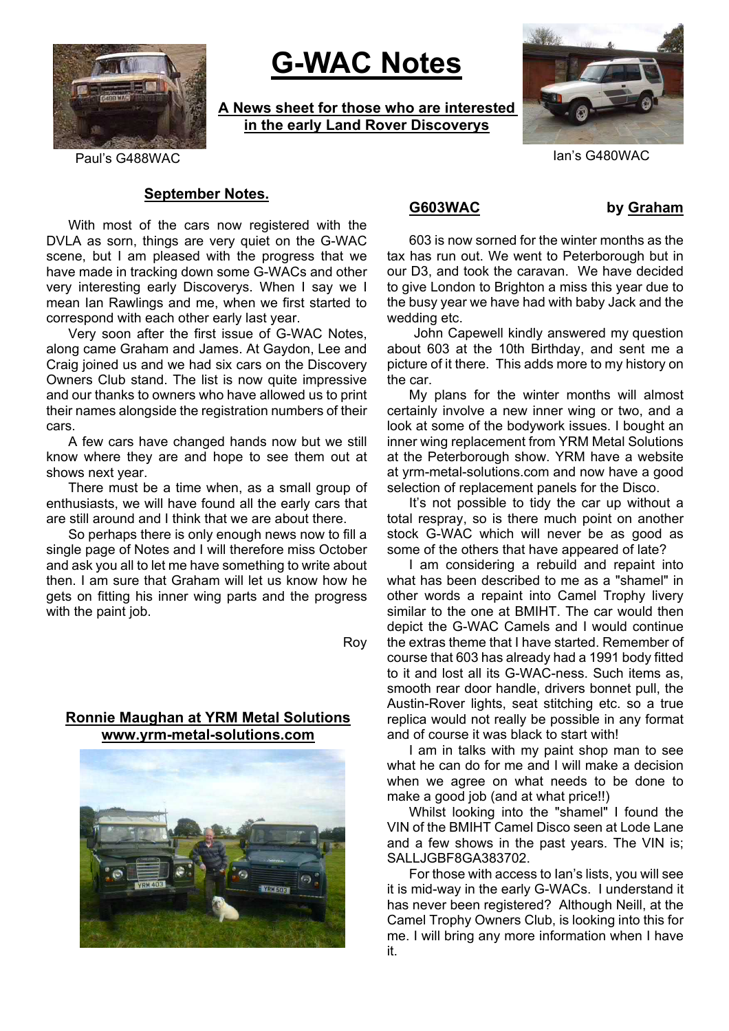

# **G-WAC Notes**

**A News sheet for those who are interested in the early Land Rover Discoverys**



Paul's G488WAC Ian's G480WAC

### **September Notes.**

With most of the cars now registered with the DVLA as sorn, things are very quiet on the G-WAC scene, but I am pleased with the progress that we have made in tracking down some G-WACs and other very interesting early Discoverys. When I say we I mean Ian Rawlings and me, when we first started to correspond with each other early last year.

Very soon after the first issue of G-WAC Notes, along came Graham and James. At Gaydon, Lee and Craig joined us and we had six cars on the Discovery Owners Club stand. The list is now quite impressive and our thanks to owners who have allowed us to print their names alongside the registration numbers of their cars.

A few cars have changed hands now but we still know where they are and hope to see them out at shows next year.

There must be a time when, as a small group of enthusiasts, we will have found all the early cars that are still around and I think that we are about there.

So perhaps there is only enough news now to fill a single page of Notes and I will therefore miss October and ask you all to let me have something to write about then. I am sure that Graham will let us know how he gets on fitting his inner wing parts and the progress with the paint job.

Roy

### **Ronnie Maughan at YRM Metal Solutions www.yrm-metal-solutions.com**



### **G603WAC by Graham**

603 is now sorned for the winter months as the tax has run out. We went to Peterborough but in our D3, and took the caravan. We have decided to give London to Brighton a miss this year due to the busy year we have had with baby Jack and the wedding etc.

John Capewell kindly answered my question about 603 at the 10th Birthday, and sent me a picture of it there. This adds more to my history on the car.

My plans for the winter months will almost certainly involve a new inner wing or two, and a look at some of the bodywork issues. I bought an inner wing replacement from YRM Metal Solutions at the Peterborough show. YRM have a website at yrm-metal-solutions.com and now have a good selection of replacement panels for the Disco.

It's not possible to tidy the car up without a total respray, so is there much point on another stock G-WAC which will never be as good as some of the others that have appeared of late?

I am considering a rebuild and repaint into what has been described to me as a "shamel" in other words a repaint into Camel Trophy livery similar to the one at BMIHT. The car would then depict the G-WAC Camels and I would continue the extras theme that I have started. Remember of course that 603 has already had a 1991 body fitted to it and lost all its G-WAC-ness. Such items as, smooth rear door handle, drivers bonnet pull, the Austin-Rover lights, seat stitching etc. so a true replica would not really be possible in any format and of course it was black to start with!

I am in talks with my paint shop man to see what he can do for me and I will make a decision when we agree on what needs to be done to make a good job (and at what price!!)

Whilst looking into the "shamel" I found the VIN of the BMIHT Camel Disco seen at Lode Lane and a few shows in the past years. The VIN is; SALLJGBF8GA383702.

For those with access to Ian's lists, you will see it is mid-way in the early G-WACs. I understand it has never been registered? Although Neill, at the Camel Trophy Owners Club, is looking into this for me. I will bring any more information when I have it.